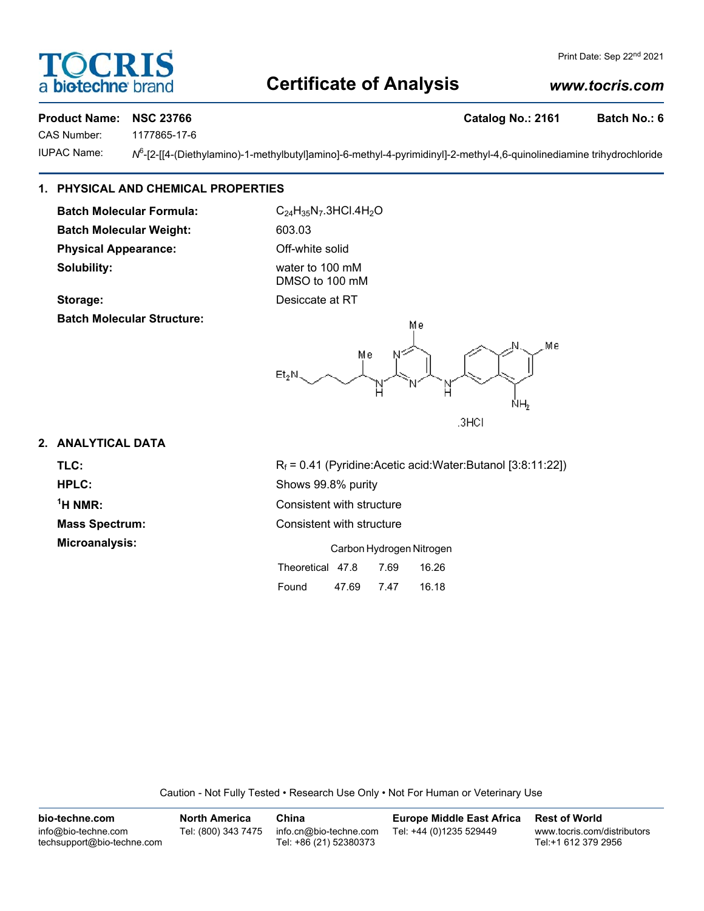## **Certificate of Analysis**

### *www.tocris.com*

#### Product Name: NSC 23766 **Catalog No.: 2161** Batch No.: 6

**bio-techne** 

CAS Number: 1177865-17-6

**IUPAC Name:** 

 $N^6$ -[2-[[4-(Diethylamino)-1-methylbutyl]amino]-6-methyl-4-pyrimidinyl]-2-methyl-4,6-quinolinediamine trihydrochloride

#### **1. PHYSICAL AND CHEMICAL PROPERTIES**

**Batch Molecular Formula:** C<sub>24</sub>H<sub>35</sub>N<sub>7</sub>.3HCl.4H<sub>2</sub>O Batch Molecular Weight: 603.03 **Physical Appearance:** Off-white solid **Solubility:** water to 100 mM

**Batch Molecular Structure:**

DMSO to 100 mM **Storage:** Desiccate at RT



#### **2. ANALYTICAL DATA**

 $<sup>1</sup>H NMR$ :</sup>

**TLC:** Rf = 0.41 (Pyridine:Acetic acid:Water:Butanol [3:8:11:22]) **HPLC:** Shows 99.8% purity **Consistent with structure Mass Spectrum:** Consistent with structure **Microanalysis:** Carbon Hydrogen Nitrogen

| Theoretical 47.8 |       | 7.69 | 16.26 |
|------------------|-------|------|-------|
| Found            | 47.69 | 7.47 | 16.18 |

Caution - Not Fully Tested • Research Use Only • Not For Human or Veterinary Use

| bio-techne.com                                    | <b>North America</b> | China                                            | <b>Europe Middle East Africa</b> | <b>Rest of World</b>                               |
|---------------------------------------------------|----------------------|--------------------------------------------------|----------------------------------|----------------------------------------------------|
| info@bio-techne.com<br>techsupport@bio-techne.com | Tel: (800) 343 7475  | info.cn@bio-techne.com<br>Tel: +86 (21) 52380373 | Tel: +44 (0)1235 529449          | www.tocris.com/distributors<br>Tel:+1 612 379 2956 |